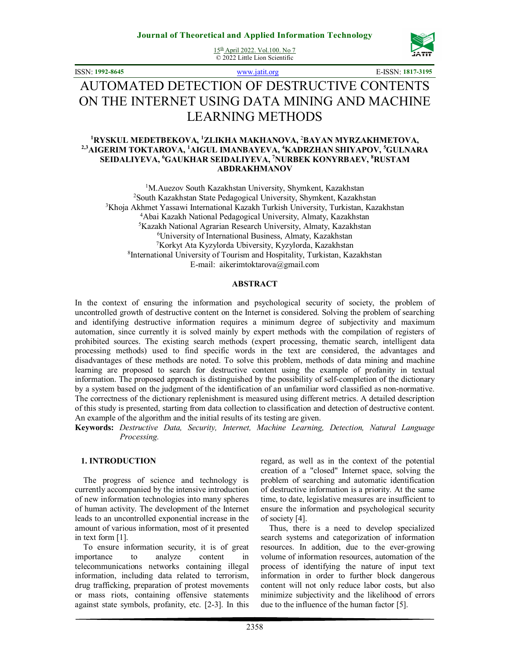15<sup>th</sup> April 2022. Vol.100. No 7 © 2022 Little Lion Scientific



ISSN: **1992-8645** www.jatit.org E-ISSN: **1817-3195**

# AUTOMATED DETECTION OF DESTRUCTIVE CONTENTS ON THE INTERNET USING DATA MINING AND MACHINE LEARNING METHODS

### **<sup>1</sup>RYSKUL MEDETBEKOVA, <sup>1</sup>ZLIKHA MAKHANOVA,** <sup>2</sup>**BAYAN MYRZAKHMETOVA, 2,3AIGERIM TOKTAROVA, <sup>1</sup>AIGUL IMANBAYEVA, <sup>4</sup>KADRZHAN SHIYAPOV, <sup>5</sup>GULNARA SEIDALIYEVA, <sup>6</sup>GAUKHAR SEIDALIYEVA, <sup>7</sup>NURBEK KONYRBAEV, <sup>8</sup>RUSTAM ABDRAKHMANOV**

<sup>1</sup>M.Auezov South Kazakhstan University, Shymkent, Kazakhstan South Kazakhstan State Pedagogical University, Shymkent, Kazakhstan Khoja Akhmet Yassawi International Kazakh Turkish University, Turkistan, Kazakhstan Abai Kazakh National Pedagogical University, Almaty, Kazakhstan Kazakh National Agrarian Research University, Almaty, Kazakhstan University of International Business, Almaty, Kazakhstan Korkyt Ata Kyzylorda Ubiversity, Kyzylorda, Kazakhstan International University of Tourism and Hospitality, Turkistan, Kazakhstan E-mail: aikerimtoktarova@gmail.com

### **ABSTRACT**

In the context of ensuring the information and psychological security of society, the problem of uncontrolled growth of destructive content on the Internet is considered. Solving the problem of searching and identifying destructive information requires a minimum degree of subjectivity and maximum automation, since currently it is solved mainly by expert methods with the compilation of registers of prohibited sources. The existing search methods (expert processing, thematic search, intelligent data processing methods) used to find specific words in the text are considered, the advantages and disadvantages of these methods are noted. To solve this problem, methods of data mining and machine learning are proposed to search for destructive content using the example of profanity in textual information. The proposed approach is distinguished by the possibility of self-completion of the dictionary by a system based on the judgment of the identification of an unfamiliar word classified as non-normative. The correctness of the dictionary replenishment is measured using different metrics. A detailed description of this study is presented, starting from data collection to classification and detection of destructive content. An example of the algorithm and the initial results of its testing are given.

**Keywords:** *Destructive Data, Security, Internet, Machine Learning, Detection, Natural Language Processing.*

### **1. INTRODUCTION**

The progress of science and technology is currently accompanied by the intensive introduction of new information technologies into many spheres of human activity. The development of the Internet leads to an uncontrolled exponential increase in the amount of various information, most of it presented in text form [1].

To ensure information security, it is of great importance to analyze content in telecommunications networks containing illegal information, including data related to terrorism, drug trafficking, preparation of protest movements or mass riots, containing offensive statements against state symbols, profanity, etc. [2-3]. In this regard, as well as in the context of the potential creation of a "closed" Internet space, solving the problem of searching and automatic identification of destructive information is a priority. At the same time, to date, legislative measures are insufficient to ensure the information and psychological security of society [4].

Thus, there is a need to develop specialized search systems and categorization of information resources. In addition, due to the ever-growing volume of information resources, automation of the process of identifying the nature of input text information in order to further block dangerous content will not only reduce labor costs, but also minimize subjectivity and the likelihood of errors due to the influence of the human factor [5].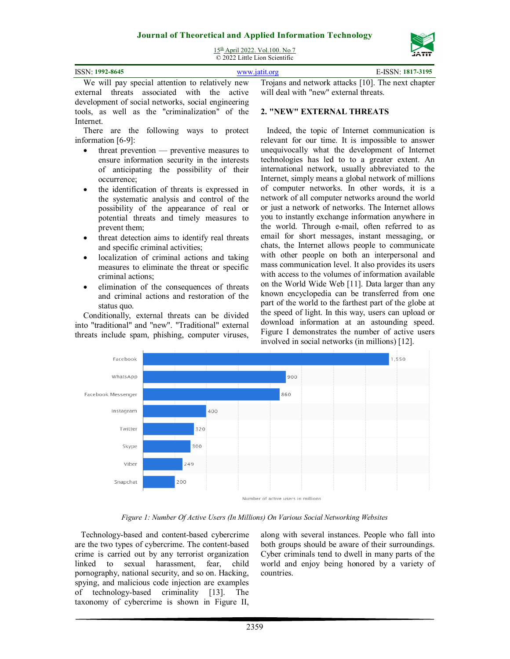

15<sup>th</sup> April 2022. Vol.100. No 7 © 2022 Little Lion Scientific

| ISSN: 1992-8645 |                                                 | www.jatit.org | E-ISSN: 1817-3195                                  |
|-----------------|-------------------------------------------------|---------------|----------------------------------------------------|
|                 | We will nav special attention to relatively new |               | Troians and network attacks [10]. The next chapter |

We will pay special attention to relatively new external threats associated with the active development of social networks, social engineering tools, as well as the "criminalization" of the Internet.

There are the following ways to protect information [6-9]:

- threat prevention preventive measures to ensure information security in the interests of anticipating the possibility of their occurrence;
- the identification of threats is expressed in the systematic analysis and control of the possibility of the appearance of real or potential threats and timely measures to prevent them;
- threat detection aims to identify real threats and specific criminal activities;
- localization of criminal actions and taking measures to eliminate the threat or specific criminal actions;
- elimination of the consequences of threats and criminal actions and restoration of the status quo.

Conditionally, external threats can be divided into "traditional" and "new". "Traditional" external threats include spam, phishing, computer viruses,

Trojans and network attacks [10]. The next chapter will deal with "new" external threats.

### **2. "NEW" EXTERNAL THREATS**

Indeed, the topic of Internet communication is relevant for our time. It is impossible to answer unequivocally what the development of Internet technologies has led to to a greater extent. An international network, usually abbreviated to the Internet, simply means a global network of millions of computer networks. In other words, it is a network of all computer networks around the world or just a network of networks. The Internet allows you to instantly exchange information anywhere in the world. Through e-mail, often referred to as email for short messages, instant messaging, or chats, the Internet allows people to communicate with other people on both an interpersonal and mass communication level. It also provides its users with access to the volumes of information available on the World Wide Web [11]. Data larger than any known encyclopedia can be transferred from one part of the world to the farthest part of the globe at the speed of light. In this way, users can upload or download information at an astounding speed. Figure I demonstrates the number of active users involved in social networks (in millions) [12].



*Figure 1: Number Of Active Users (In Millions) On Various Social Networking Websites* 

Technology-based and content-based cybercrime are the two types of cybercrime. The content-based crime is carried out by any terrorist organization linked to sexual harassment, fear, child pornography, national security, and so on. Hacking, spying, and malicious code injection are examples of technology-based criminality [13]. The taxonomy of cybercrime is shown in Figure II, along with several instances. People who fall into both groups should be aware of their surroundings. Cyber criminals tend to dwell in many parts of the world and enjoy being honored by a variety of countries.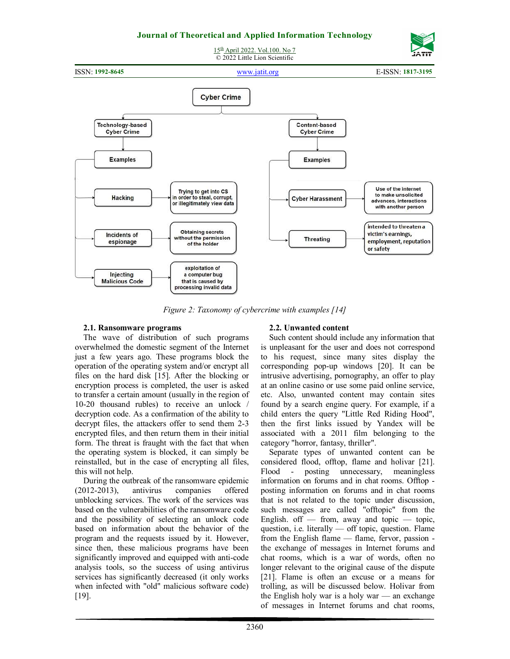



*Figure 2: Taxonomy of cybercrime with examples [14]* 

## **2.1. Ransomware programs**

The wave of distribution of such programs overwhelmed the domestic segment of the Internet just a few years ago. These programs block the operation of the operating system and/or encrypt all files on the hard disk [15]. After the blocking or encryption process is completed, the user is asked to transfer a certain amount (usually in the region of 10-20 thousand rubles) to receive an unlock / decryption code. As a confirmation of the ability to decrypt files, the attackers offer to send them 2-3 encrypted files, and then return them in their initial form. The threat is fraught with the fact that when the operating system is blocked, it can simply be reinstalled, but in the case of encrypting all files, this will not help.

During the outbreak of the ransomware epidemic (2012-2013), antivirus companies offered unblocking services. The work of the services was based on the vulnerabilities of the ransomware code and the possibility of selecting an unlock code based on information about the behavior of the program and the requests issued by it. However, since then, these malicious programs have been significantly improved and equipped with anti-code analysis tools, so the success of using antivirus services has significantly decreased (it only works when infected with "old" malicious software code) [19].

## **2.2. Unwanted content**

Such content should include any information that is unpleasant for the user and does not correspond to his request, since many sites display the corresponding pop-up windows [20]. It can be intrusive advertising, pornography, an offer to play at an online casino or use some paid online service, etc. Also, unwanted content may contain sites found by a search engine query. For example, if a child enters the query "Little Red Riding Hood", then the first links issued by Yandex will be associated with a 2011 film belonging to the category "horror, fantasy, thriller".

Separate types of unwanted content can be considered flood, offtop, flame and holivar [21]. Flood - posting unnecessary, meaningless information on forums and in chat rooms. Offtop posting information on forums and in chat rooms that is not related to the topic under discussion, such messages are called "offtopic" from the English. off  $-$  from, away and topic  $-$  topic, question, i.e. literally  $\sim$  off topic, question. Flame from the English flame — flame, fervor, passion the exchange of messages in Internet forums and chat rooms, which is a war of words, often no longer relevant to the original cause of the dispute [21]. Flame is often an excuse or a means for trolling, as will be discussed below. Holivar from the English holy war is a holy war — an exchange of messages in Internet forums and chat rooms,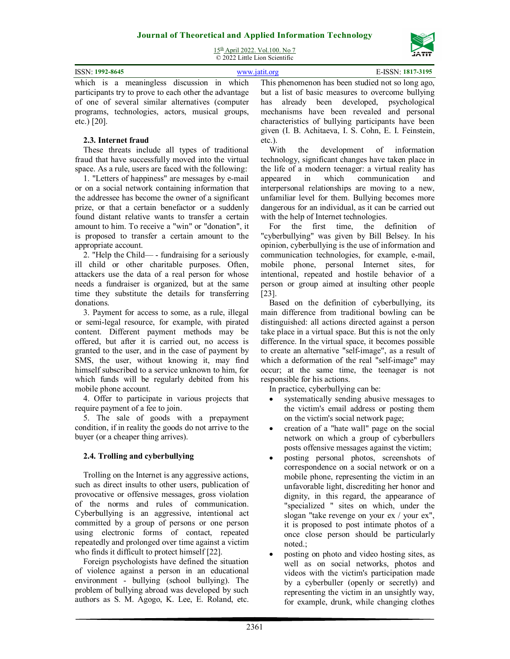

15<sup>th</sup> April 2022. Vol.100. No 7 © 2022 Little Lion Scientific

| ISSN: 1992-8645 |  |  | www.jatit.org |  |  | E-ISSN: 1817-3195                                                                            |  |
|-----------------|--|--|---------------|--|--|----------------------------------------------------------------------------------------------|--|
|                 |  |  |               |  |  | which is a meaningless discussion in which This phenomenon has been studied not so long ago, |  |

participants try to prove to each other the advantage of one of several similar alternatives (computer programs, technologies, actors, musical groups, etc.) [20].

## **2.3. Internet fraud**

These threats include all types of traditional fraud that have successfully moved into the virtual space. As a rule, users are faced with the following:

1. "Letters of happiness" are messages by e-mail or on a social network containing information that the addressee has become the owner of a significant prize, or that a certain benefactor or a suddenly found distant relative wants to transfer a certain amount to him. To receive a "win" or "donation", it is proposed to transfer a certain amount to the appropriate account.

2. "Help the Child— - fundraising for a seriously ill child or other charitable purposes. Often, attackers use the data of a real person for whose needs a fundraiser is organized, but at the same time they substitute the details for transferring donations.

3. Payment for access to some, as a rule, illegal or semi-legal resource, for example, with pirated content. Different payment methods may be offered, but after it is carried out, no access is granted to the user, and in the case of payment by SMS, the user, without knowing it, may find himself subscribed to a service unknown to him, for which funds will be regularly debited from his mobile phone account.

4. Offer to participate in various projects that require payment of a fee to join.

5. The sale of goods with a prepayment condition, if in reality the goods do not arrive to the buyer (or a cheaper thing arrives).

## **2.4. Trolling and cyberbullying**

Trolling on the Internet is any aggressive actions, such as direct insults to other users, publication of provocative or offensive messages, gross violation of the norms and rules of communication. Cyberbullying is an aggressive, intentional act committed by a group of persons or one person using electronic forms of contact, repeated repeatedly and prolonged over time against a victim who finds it difficult to protect himself [22].

Foreign psychologists have defined the situation of violence against a person in an educational environment - bullying (school bullying). The problem of bullying abroad was developed by such authors as S. M. Agogo, K. Lee, E. Roland, etc.

This phenomenon has been studied not so long ago, but a list of basic measures to overcome bullying has already been developed, psychological mechanisms have been revealed and personal characteristics of bullying participants have been given (I. B. Achitaeva, I. S. Cohn, E. I. Feinstein, etc.).

With the development of information technology, significant changes have taken place in the life of a modern teenager: a virtual reality has<br>appeared in which communication and in which communication and interpersonal relationships are moving to a new, unfamiliar level for them. Bullying becomes more dangerous for an individual, as it can be carried out with the help of Internet technologies.

For the first time, the definition of "cyberbullying" was given by Bill Belsey. In his opinion, cyberbullying is the use of information and communication technologies, for example, e-mail, mobile phone, personal Internet sites, for intentional, repeated and hostile behavior of a person or group aimed at insulting other people [23].

Based on the definition of cyberbullying, its main difference from traditional bowling can be distinguished: all actions directed against a person take place in a virtual space. But this is not the only difference. In the virtual space, it becomes possible to create an alternative "self-image", as a result of which a deformation of the real "self-image" may occur; at the same time, the teenager is not responsible for his actions.

In practice, cyberbullying can be:

- systematically sending abusive messages to the victim's email address or posting them on the victim's social network page;
- creation of a "hate wall" page on the social network on which a group of cyberbullers posts offensive messages against the victim;
- posting personal photos, screenshots of correspondence on a social network or on a mobile phone, representing the victim in an unfavorable light, discrediting her honor and dignity, in this regard, the appearance of "specialized " sites on which, under the slogan "take revenge on your ex / your ex", it is proposed to post intimate photos of a once close person should be particularly noted.;
- posting on photo and video hosting sites, as well as on social networks, photos and videos with the victim's participation made by a cyberbuller (openly or secretly) and representing the victim in an unsightly way, for example, drunk, while changing clothes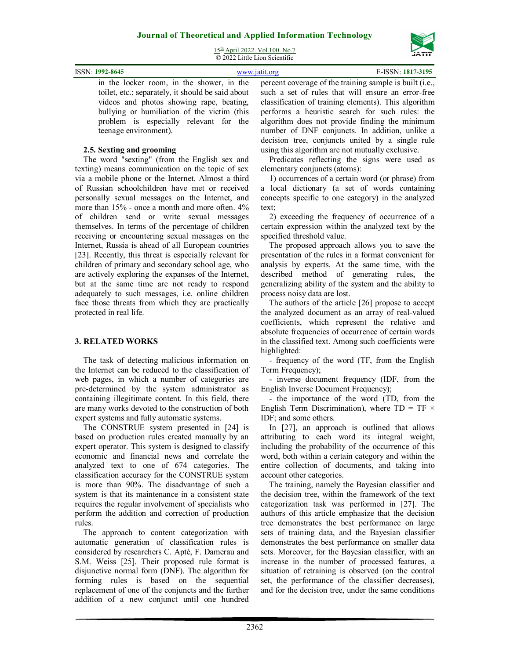15<sup>th</sup> April 2022. Vol.100. No 7 © 2022 Little Lion Scientific

| ISSN: 1992-8645                                   | www.jatit.org | E-ISSN: 1817-3195                                                                                 |
|---------------------------------------------------|---------------|---------------------------------------------------------------------------------------------------|
|                                                   |               | in the locker room, in the shower, in the percent coverage of the training sample is built (i.e., |
| toilet, etc.; separately, it should be said about |               | such a set of rules that will ensure an error-free                                                |
| videos and photos showing rape beating            |               | classification of training elements). This algorithm                                              |

videos and photos showing rape, beating, bullying or humiliation of the victim (this problem is especially relevant for the teenage environment).

## **2.5. Sexting and grooming**

The word "sexting" (from the English sex and texting) means communication on the topic of sex via a mobile phone or the Internet. Almost a third of Russian schoolchildren have met or received personally sexual messages on the Internet, and more than 15% - once a month and more often. 4% of children send or write sexual messages themselves. In terms of the percentage of children receiving or encountering sexual messages on the Internet, Russia is ahead of all European countries [23]. Recently, this threat is especially relevant for children of primary and secondary school age, who are actively exploring the expanses of the Internet, but at the same time are not ready to respond adequately to such messages, i.e. online children face those threats from which they are practically protected in real life.

## **3. RELATED WORKS**

The task of detecting malicious information on the Internet can be reduced to the classification of web pages, in which a number of categories are pre-determined by the system administrator as containing illegitimate content. In this field, there are many works devoted to the construction of both expert systems and fully automatic systems.

The CONSTRUE system presented in [24] is based on production rules created manually by an expert operator. This system is designed to classify economic and financial news and correlate the analyzed text to one of 674 categories. The classification accuracy for the CONSTRUE system is more than 90%. The disadvantage of such a system is that its maintenance in a consistent state requires the regular involvement of specialists who perform the addition and correction of production rules.

The approach to content categorization with automatic generation of classification rules is considered by researchers C. Apté, F. Damerau and S.M. Weiss [25]. Their proposed rule format is disjunctive normal form (DNF). The algorithm for forming rules is based on the sequential replacement of one of the conjuncts and the further addition of a new conjunct until one hundred

percent coverage of the training sample is built (i.e., such a set of rules that will ensure an error-free ification of training elements). This algorithm performs a heuristic search for such rules: the algorithm does not provide finding the minimum number of DNF conjuncts. In addition, unlike a decision tree, conjuncts united by a single rule using this algorithm are not mutually exclusive.

Predicates reflecting the signs were used as elementary conjuncts (atoms):

1) occurrences of a certain word (or phrase) from a local dictionary (a set of words containing concepts specific to one category) in the analyzed text;

2) exceeding the frequency of occurrence of a certain expression within the analyzed text by the specified threshold value.

The proposed approach allows you to save the presentation of the rules in a format convenient for analysis by experts. At the same time, with the described method of generating rules, the generalizing ability of the system and the ability to process noisy data are lost.

The authors of the article [26] propose to accept the analyzed document as an array of real-valued coefficients, which represent the relative and absolute frequencies of occurrence of certain words in the classified text. Among such coefficients were highlighted:

- frequency of the word (TF, from the English Term Frequency);

- inverse document frequency (IDF, from the English Inverse Document Frequency);

- the importance of the word (TD, from the English Term Discrimination), where  $TD = TF \times$ IDF; and some others.

In [27], an approach is outlined that allows attributing to each word its integral weight, including the probability of the occurrence of this word, both within a certain category and within the entire collection of documents, and taking into account other categories.

The training, namely the Bayesian classifier and the decision tree, within the framework of the text categorization task was performed in [27]. The authors of this article emphasize that the decision tree demonstrates the best performance on large sets of training data, and the Bayesian classifier demonstrates the best performance on smaller data sets. Moreover, for the Bayesian classifier, with an increase in the number of processed features, a situation of retraining is observed (on the control set, the performance of the classifier decreases), and for the decision tree, under the same conditions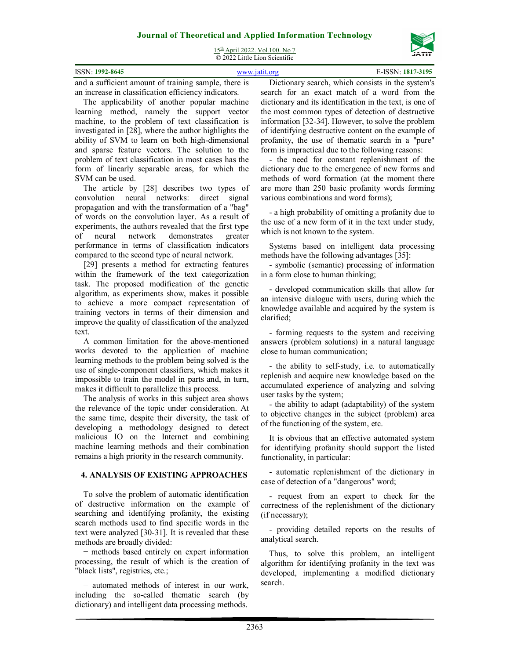15<sup>th</sup> April 2022. Vol.100. No 7 © 2022 Little Lion Scientific

| ISSN: 1992-8645 |  | $: 1817 - 3195$<br>◝ |
|-----------------|--|----------------------|
|                 |  |                      |

and a sufficient amount of training sample, there is an increase in classification efficiency indicators.

The applicability of another popular machine learning method, namely the support vector machine, to the problem of text classification is investigated in [28], where the author highlights the ability of SVM to learn on both high-dimensional and sparse feature vectors. The solution to the problem of text classification in most cases has the form of linearly separable areas, for which the SVM can be used.

The article by [28] describes two types of convolution neural networks: direct signal propagation and with the transformation of a "bag" of words on the convolution layer. As a result of experiments, the authors revealed that the first type of neural network demonstrates greater performance in terms of classification indicators compared to the second type of neural network.

[29] presents a method for extracting features within the framework of the text categorization task. The proposed modification of the genetic algorithm, as experiments show, makes it possible to achieve a more compact representation of training vectors in terms of their dimension and improve the quality of classification of the analyzed text.

A common limitation for the above-mentioned works devoted to the application of machine learning methods to the problem being solved is the use of single-component classifiers, which makes it impossible to train the model in parts and, in turn, makes it difficult to parallelize this process.

The analysis of works in this subject area shows the relevance of the topic under consideration. At the same time, despite their diversity, the task of developing a methodology designed to detect malicious IO on the Internet and combining machine learning methods and their combination remains a high priority in the research community.

## **4. ANALYSIS OF EXISTING APPROACHES**

To solve the problem of automatic identification of destructive information on the example of searching and identifying profanity, the existing search methods used to find specific words in the text were analyzed [30-31]. It is revealed that these methods are broadly divided:

− methods based entirely on expert information processing, the result of which is the creation of "black lists", registries, etc.;

− automated methods of interest in our work, including the so-called thematic search (by dictionary) and intelligent data processing methods.

Dictionary search, which consists in the system's search for an exact match of a word from the dictionary and its identification in the text, is one of the most common types of detection of destructive information [32-34]. However, to solve the problem of identifying destructive content on the example of profanity, the use of thematic search in a "pure" form is impractical due to the following reasons:

- the need for constant replenishment of the dictionary due to the emergence of new forms and methods of word formation (at the moment there are more than 250 basic profanity words forming various combinations and word forms);

- a high probability of omitting a profanity due to the use of a new form of it in the text under study, which is not known to the system.

Systems based on intelligent data processing methods have the following advantages [35]:

- symbolic (semantic) processing of information in a form close to human thinking;

- developed communication skills that allow for an intensive dialogue with users, during which the knowledge available and acquired by the system is clarified;

- forming requests to the system and receiving answers (problem solutions) in a natural language close to human communication;

- the ability to self-study, i.e. to automatically replenish and acquire new knowledge based on the accumulated experience of analyzing and solving user tasks by the system;

- the ability to adapt (adaptability) of the system to objective changes in the subject (problem) area of the functioning of the system, etc.

It is obvious that an effective automated system for identifying profanity should support the listed functionality, in particular:

- automatic replenishment of the dictionary in case of detection of a "dangerous" word;

- request from an expert to check for the correctness of the replenishment of the dictionary (if necessary);

- providing detailed reports on the results of analytical search.

Thus, to solve this problem, an intelligent algorithm for identifying profanity in the text was developed, implementing a modified dictionary search.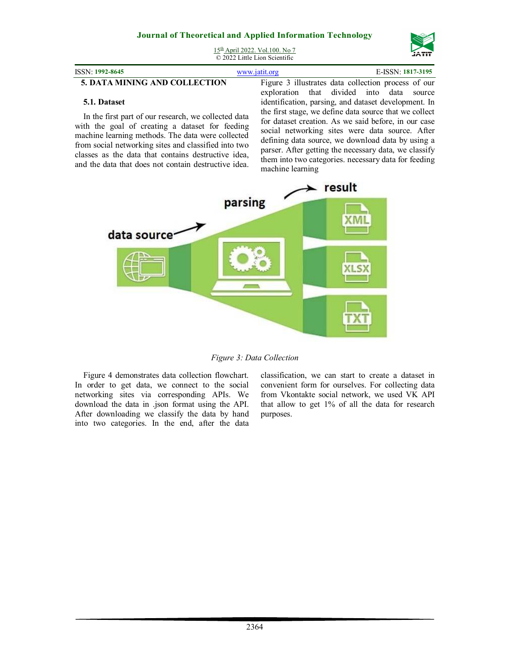

15<sup>th</sup> April 2022. Vol.100. No 7  $\overline{Q}$  2022 Little Lion Scientific

## **5. DATA MINING AND COLLECTION**

**5.1. Dataset** 

In the first part of our research, we collected data with the goal of creating a dataset for feeding machine learning methods. The data were collected from social networking sites and classified into two classes as the data that contains destructive idea, and the data that does not contain destructive idea.

Figure 3 illustrates data collection process of our exploration that divided into data source identification, parsing, and dataset development. In the first stage, we define data source that we collect for dataset creation. As we said before, in our case social networking sites were data source. After defining data source, we download data by using a parser. After getting the necessary data, we classify them into two categories. necessary data for feeding machine learning



*Figure 3: Data Collection* 

Figure 4 demonstrates data collection flowchart. In order to get data, we connect to the social networking sites via corresponding APIs. We download the data in .json format using the API. After downloading we classify the data by hand into two categories. In the end, after the data classification, we can start to create a dataset in convenient form for ourselves. For collecting data from Vkontakte social network, we used VK API that allow to get 1% of all the data for research purposes.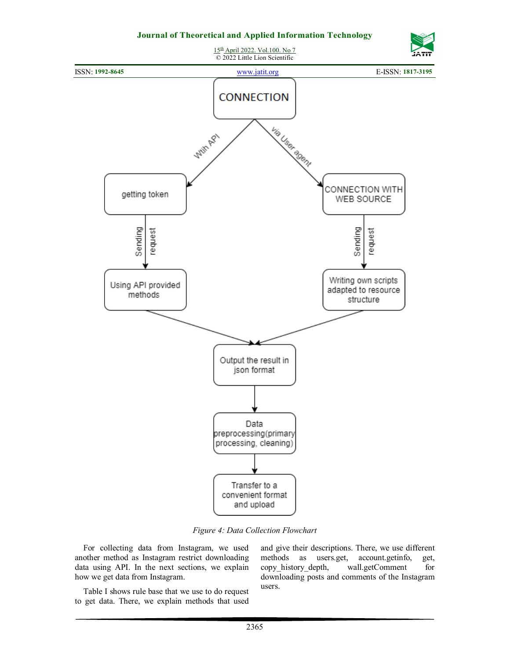

*Figure 4: Data Collection Flowchart* 

For collecting data from Instagram, we used another method as Instagram restrict downloading data using API. In the next sections, we explain how we get data from Instagram.

Table I shows rule base that we use to do request to get data. There, we explain methods that used and give their descriptions. There, we use different methods as users.get, account.getinfo, get,<br>copy\_history\_depth, wall.getComment for copy\_history\_depth, downloading posts and comments of the Instagram users.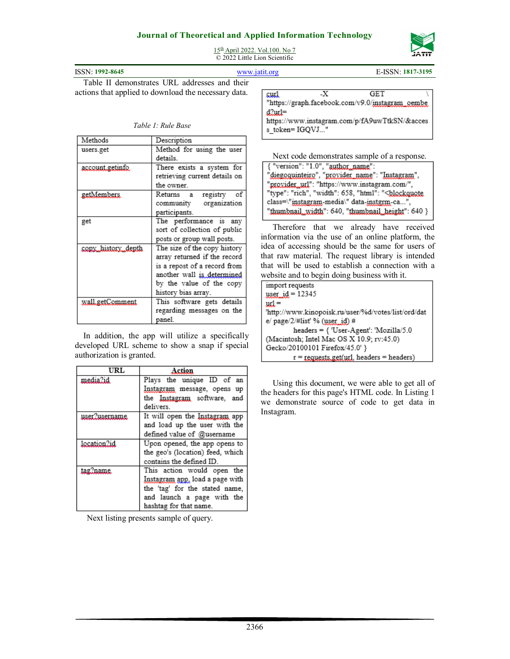

15th April 2022. Vol.100. No 7  $\overline{Q}$  2022 Little Lion Scientific

| ISSN: 1992-8645 | www.jatit.org | E-ISSN: 1817-3195 |
|-----------------|---------------|-------------------|

Table II demonstrates URL addresses and their actions that applied to download the necessary data.

*Table 1: Rule Base* 

| Methods            | Description                   |  |  |
|--------------------|-------------------------------|--|--|
| users.get          | Method for using the user     |  |  |
|                    | details.                      |  |  |
| account getinfo    | There exists a system for     |  |  |
|                    | retrieving current details on |  |  |
|                    | the owner.                    |  |  |
| getMembers.        | registry of<br>Returns a      |  |  |
|                    | community organization        |  |  |
|                    | participants.                 |  |  |
| get                | The performance is any        |  |  |
|                    | sort of collection of public  |  |  |
|                    | posts or group wall posts.    |  |  |
| copy_history_depth | The size of the copy history  |  |  |
|                    | array returned if the record  |  |  |
|                    | is a repost of a record from  |  |  |
|                    | another wall is determined    |  |  |
|                    | by the value of the copy      |  |  |
|                    | history bias array.           |  |  |
| wall.getComment    | This software gets details    |  |  |
|                    | regarding messages on the     |  |  |
|                    | panel.                        |  |  |

In addition, the app will utilize a specifically developed URL scheme to show a snap if special authorization is granted.

| URL                  | Action                           |  |
|----------------------|----------------------------------|--|
| media?id             | Plays the unique ID of an        |  |
|                      | Instagram message, opens up      |  |
|                      | the Instagram software, and      |  |
|                      | delivers.                        |  |
| <u>user?username</u> | It will open the Instagram app   |  |
|                      | and load up the user with the    |  |
|                      | defined value of @username       |  |
| location2id          | Upon opened, the app opens to    |  |
|                      | the geo's (location) feed, which |  |
|                      | contains the defined ID.         |  |
| tag?name.            | This action would open the       |  |
|                      | Instagram app, load a page with  |  |
|                      | the 'tag' for the stated name,   |  |
|                      | and launch a page with the       |  |
|                      | hashtag for that name.           |  |

Next listing presents sample of query.

| curl           | -X | GET                                              |  |
|----------------|----|--------------------------------------------------|--|
|                |    | "https://graph.facebook.com/v9.0/instagram_oembe |  |
|                |    |                                                  |  |
| $d2$ url=      |    |                                                  |  |
|                |    | https://www.instagram.com/p/fA9uwTtkSN/&acces    |  |
| s token=IGOVJ" |    |                                                  |  |

Next code demonstrates sample of a response.<br>{ "version": "1.0", "author name":<br>"diegoquinteiro", "provider name": "Instagram",<br>"provider url": "https://www.instagram.com/", "type": "rich", "width": 658, "html": "<br/>blockquote class=\"instagram-media\" data-instgrm-ca...", "thumbnail\_width": 640, "thumbnail\_height": 640 }

Therefore that we already have received information via the use of an online platform, the idea of accessing should be the same for users of that raw material. The request library is intended that will be used to establish a connection with a website and to begin doing business with it.

| import requests                                               |
|---------------------------------------------------------------|
| user $id = 12345$                                             |
| $urt =$                                                       |
| "http://www.kinopoisk.ru/user/%d/votes/list/ord/dat           |
| e/page/2/#list' % (user_id) #                                 |
| $heads = \{$ 'User-Agent': 'Mozilla/5.0                       |
| (Macintosh; Intel Mac OS X 10.9; rv:45.0)                     |
| Gecko/20100101 Firefox/45.0' }                                |
| $r = \text{request}(\text{url}, \text{heads} = \text{heads})$ |

Using this document, we were able to get all of the headers for this page's HTML code. In Listing 1 we demonstrate source of code to get data in Instagram.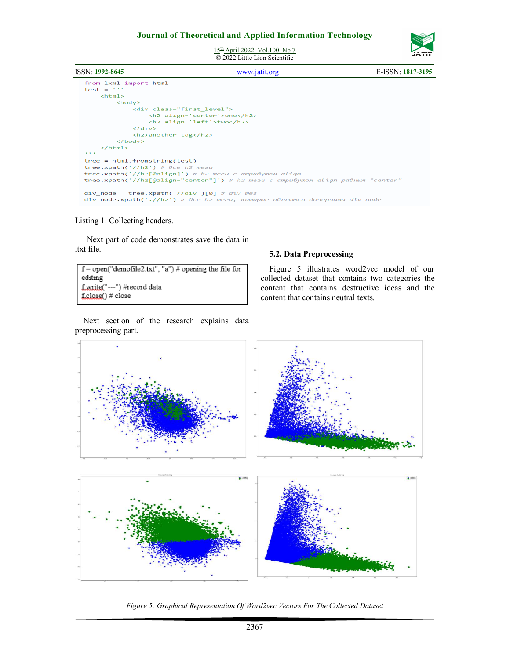

15th April 2022. Vol.100. No 7  $\overline{Q}$  2022 Little Lion Scientific



### Listing 1. Collecting headers.

Next part of code demonstrates save the data in .txt file.

```
f = open("demofile2.txt", "a") # opening the file for
editing
f.write("---") #record data
f.close()#close
```
Next section of the research explains data preprocessing part.

### **5.2. Data Preprocessing**

Figure 5 illustrates word2vec model of our collected dataset that contains two categories the content that contains destructive ideas and the content that contains neutral texts.



*Figure 5: Graphical Representation Of Word2vec Vectors For The Collected Dataset*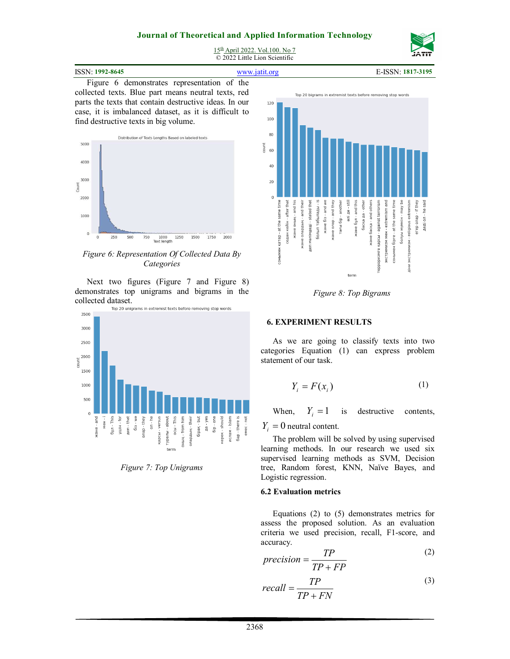

15<sup>th</sup> April 2022. Vol.100. No 7 © 2022 Little Lion Scientific

| ISSN: 1992-8645 | www.jatit.org | E-ISSN: 1817-3195 |
|-----------------|---------------|-------------------|
|                 |               |                   |

Figure 6 demonstrates representation of the collected texts. Blue part means neutral texts, red parts the texts that contain destructive ideas. In our case, it is imbalanced dataset, as it is difficult to find destructive texts in big volume.



*Figure 6: Representation Of Collected Data By Categories* 

Next two figures (Figure 7 and Figure 8) demonstrates top unigrams and bigrams in the collected dataset.<br>Top 20 unigrams in extremist texts before removing stop words



*Figure 7: Top Unigrams* 



*Figure 8: Top Bigrams* 

### **6. EXPERIMENT RESULTS**

As we are going to classify texts into two categories Equation (1) can express problem statement of our task.

$$
Y_i = F(x_i) \tag{1}
$$

When,  $Y_i = 1$ is destructive contents,

# $Y_i = 0$  neutral content.

The problem will be solved by using supervised learning methods. In our research we used six supervised learning methods as SVM, Decision tree, Random forest, KNN, Naïve Bayes, and Logistic regression.

### **6.2 Evaluation metrics**

Equations (2) to (5) demonstrates metrics for assess the proposed solution. As an evaluation criteria we used precision, recall, F1-score, and accuracy.

$$
precision = \frac{TP}{TP + FP}
$$
 (2)

$$
recall = \frac{TP}{TP + FN}
$$
 (3)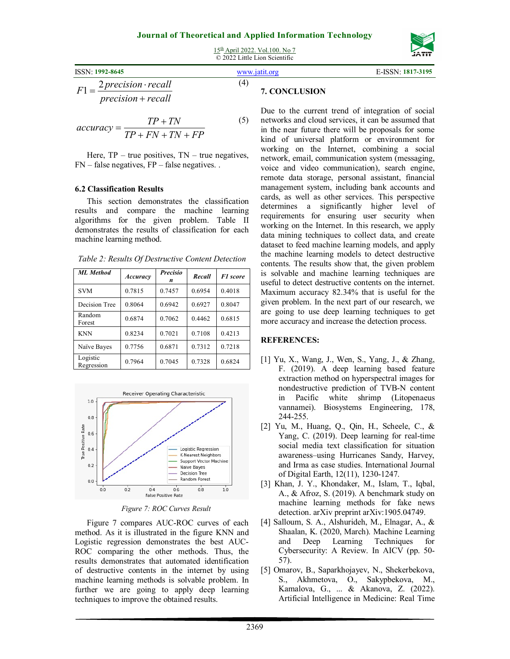15<sup>th</sup> April 2022. Vol.100. No 7 © 2022 Little Lion Scientific



$$
accuracy = \frac{TP + TN}{TP + FN + TN + FP}
$$
 (5)

Here,  $TP - true$  positives,  $TN - true$  negatives,  $FN$  – false negatives,  $FP$  – false negatives. .

#### **6.2 Classification Results**

This section demonstrates the classification results and compare the machine learning algorithms for the given problem. Table II demonstrates the results of classification for each machine learning method.

| <b>ML</b> Method       | Accuracy | <b>Precisio</b><br>n | Recall | <b>F1</b> score |
|------------------------|----------|----------------------|--------|-----------------|
| <b>SVM</b>             | 0.7815   | 0.7457               | 0.6954 | 0.4018          |
| Decision Tree          | 0.8064   | 0.6942               | 0.6927 | 0.8047          |
| Random<br>Forest       | 0.6874   | 0.7062               | 0.4462 | 0.6815          |
| <b>KNN</b>             | 0.8234   | 0.7021               | 0.7108 | 0.4213          |
| Naïve Bayes            | 0.7756   | 0.6871               | 0.7312 | 0.7218          |
| Logistic<br>Regression | 0.7964   | 0.7045               | 0.7328 | 0.6824          |



*Figure 7: ROC Curves Result* 

Figure 7 compares AUC-ROC curves of each method. As it is illustrated in the figure KNN and Logistic regression demonstrates the best AUC-ROC comparing the other methods. Thus, the results demonstrates that automated identification of destructive contents in the internet by using machine learning methods is solvable problem. In further we are going to apply deep learning techniques to improve the obtained results.

Due to the current trend of integration of social networks and cloud services, it can be assumed that in the near future there will be proposals for some kind of universal platform or environment for working on the Internet, combining a social network, email, communication system (messaging, voice and video communication), search engine, remote data storage, personal assistant, financial management system, including bank accounts and cards, as well as other services. This perspective determines a significantly higher level of requirements for ensuring user security when working on the Internet. In this research, we apply data mining techniques to collect data, and create dataset to feed machine learning models, and apply the machine learning models to detect destructive contents. The results show that, the given problem is solvable and machine learning techniques are useful to detect destructive contents on the internet. Maximum accuracy 82.34% that is useful for the given problem. In the next part of our research, we are going to use deep learning techniques to get more accuracy and increase the detection process.

### **REFERENCES:**

- [1] Yu, X., Wang, J., Wen, S., Yang, J., & Zhang, F. (2019). A deep learning based feature extraction method on hyperspectral images for nondestructive prediction of TVB-N content in Pacific white shrimp (Litopenaeus vannamei). Biosystems Engineering, 178, 244-255.
- [2] Yu, M., Huang, Q., Qin, H., Scheele, C., & Yang, C. (2019). Deep learning for real-time social media text classification for situation awareness–using Hurricanes Sandy, Harvey, and Irma as case studies. International Journal of Digital Earth, 12(11), 1230-1247.
- [3] Khan, J. Y., Khondaker, M., Islam, T., Iqbal, A., & Afroz, S. (2019). A benchmark study on machine learning methods for fake news detection. arXiv preprint arXiv:1905.04749.
- [4] Salloum, S. A., Alshurideh, M., Elnagar, A., & Shaalan, K. (2020, March). Machine Learning and Deep Learning Techniques for Cybersecurity: A Review. In AICV (pp. 50- 57).
- [5] Omarov, B., Saparkhojayev, N., Shekerbekova, S., Akhmetova, O., Sakypbekova, M., Kamalova, G., ... & Akanova, Z. (2022). Artificial Intelligence in Medicine: Real Time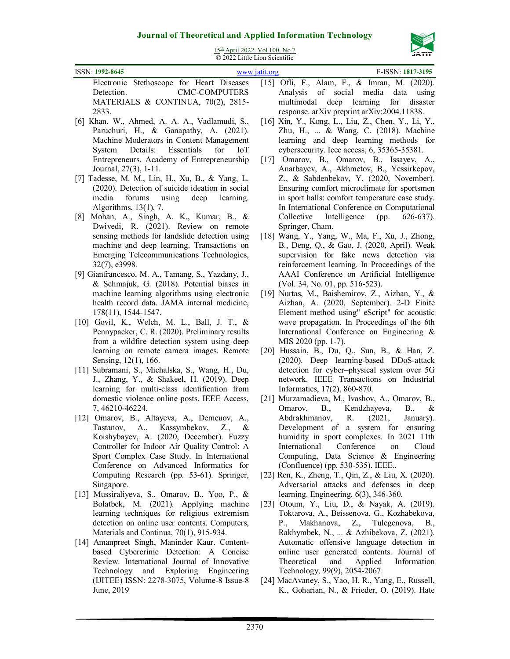

15<sup>th</sup> April 2022. Vol.100. No 7  $\overline{Q}$  2022 Little Lion Scientific

| ISSN: 1992-8645                                                                                                                                                                                                                                                   | www.jatit.org | E-ISSN: 1817-3195                                                                                                                                                                                                                                                             |
|-------------------------------------------------------------------------------------------------------------------------------------------------------------------------------------------------------------------------------------------------------------------|---------------|-------------------------------------------------------------------------------------------------------------------------------------------------------------------------------------------------------------------------------------------------------------------------------|
| Electronic Stethoscope for Heart Diseases<br><b>CMC-COMPUTERS</b><br>Detection.<br>MATERIALS & CONTINUA, 70(2), 2815-<br>2833.                                                                                                                                    |               | [15] Ofli, F., Alam, F., & Imran, M. (2020).<br>Analysis of social media<br>data<br>using<br>multimodal deep learning for disaster<br>response. arXiv preprint arXiv:2004.11838.                                                                                              |
| [6] Khan, W., Ahmed, A. A. A., Vadlamudi, S.,<br>Paruchuri, H., & Ganapathy, A. (2021).<br>Machine Moderators in Content Management<br>System Details: Essentials<br>for<br>Entrepreneurs. Academy of Entrepreneurship<br>Journal, 27(3), 1-11.                   | <b>IoT</b>    | [16] Xin, Y., Kong, L., Liu, Z., Chen, Y., Li, Y.,<br>Zhu, H.,  & Wang, C. (2018). Machine<br>learning and deep learning methods for<br>cybersecurity. Ieee access, 6, 35365-35381.<br>[17] Omarov, B., Omarov, B., Issayev, A.,<br>Anarbayev, A., Akhmetov, B., Yessirkepov, |
| [7] Tadesse, M. M., Lin, H., Xu, B., & Yang, L.<br>(2020). Detection of suicide ideation in social<br>forums<br>using<br>media<br>deep<br>Algorithms, 13(1), 7.                                                                                                   | learning.     | Z., & Sabdenbekov, Y. (2020, November).<br>Ensuring comfort microclimate for sportsmen<br>in sport halls: comfort temperature case study.<br>In International Conference on Computational                                                                                     |
| Mohan, A., Singh, A. K., Kumar, B., &<br>$\lfloor 8 \rfloor$<br>Dwivedi, R. (2021). Review on remote<br>sensing methods for landslide detection using<br>machine and deep learning. Transactions on<br>Emerging Telecommunications Technologies,<br>32(7), e3998. |               | Intelligence<br>Collective<br>(pp.<br>$626-637$ ).<br>Springer, Cham.<br>[18] Wang, Y., Yang, W., Ma, F., Xu, J., Zhong,<br>B., Deng, Q., & Gao, J. (2020, April). Weak<br>supervision for fake news detection via<br>reinforcement learning. In Proceedings of the           |
| [9] Gianfrancesco, M. A., Tamang, S., Yazdany, J.,<br>& Schmajuk, G. (2018). Potential biases in<br>machine learning algorithms using electronic                                                                                                                  |               | AAAI Conference on Artificial Intelligence<br>(Vol. 34, No. 01, pp. 516-523).<br>[19] Nurtas, M., Baishemirov, Z., Aizhan, Y., &                                                                                                                                              |
| health record data. JAMA internal medicine,<br>178(11), 1544-1547.<br>[10] Govil, K., Welch, M. L., Ball, J. T., &<br>Pennypacker, C. R. (2020). Preliminary results<br>from a wildfire detection system using deep                                               |               | Aizhan, A. (2020, September). 2-D Finite<br>Element method using" eScript" for acoustic<br>wave propagation. In Proceedings of the 6th<br>International Conference on Engineering &<br>MIS 2020 (pp. 1-7).                                                                    |
| learning on remote camera images. Remote<br>Sensing, 12(1), 166.<br>[11] Subramani, S., Michalska, S., Wang, H., Du,<br>J., Zhang, Y., & Shakeel, H. (2019). Deep                                                                                                 |               | [20] Hussain, B., Du, Q., Sun, B., & Han, Z.<br>(2020). Deep learning-based DDoS-attack<br>detection for cyber-physical system over 5G<br>network. IEEE Transactions on Industrial                                                                                            |
| learning for multi-class identification from<br>domestic violence online posts. IEEE Access,<br>7, 46210-46224.<br>[12] Omarov, B., Altayeva, A., Demeuov, A.,<br>A., Kassymbekov,<br>Tastanov,<br>Koishybayev, A. (2020, December). Fuzzy                        | Z.,<br>&      | Informatics, 17(2), 860-870.<br>[21] Murzamadieva, M., Ivashov, A., Omarov, B.,<br>Kendzhayeva,<br>Omarov,<br>B.,<br>B.,<br>&<br>R.<br>(2021,<br>Abdrakhmanov,<br>January).<br>Development of a system for ensuring<br>humidity in sport complexes. In 2021 11th              |
| Controller for Indoor Air Quality Control: A<br>Sport Complex Case Study. In International<br>Conference on Advanced Informatics for<br>Computing Research (pp. 53-61). Springer,<br>Singapore.<br>Mussiraliyeva, S., Omarov, B., Yoo, P., &<br>$[13]$            |               | Conference<br>International<br>Cloud<br>on<br>Computing, Data Science & Engineering<br>(Confluence) (pp. 530-535). IEEE<br>[22] Ren, K., Zheng, T., Qin, Z., & Liu, X. (2020).<br>Adversarial attacks and defenses in deep<br>learning. Engineering, 6(3), 346-360.           |

- Bolatbek, M. (2021). Applying machine learning techniques for religious extremism detection on online user contents. Computers, [14] Amanpreet Singh, Maninder Kaur. Contentbased Cybercrime Detection: A Concise Review. International Journal of Innovative Technology and Exploring Engineering [23] Otoum, Y., Liu, D., & Nayak, A. (2019). Toktarova, A., Beissenova, G., Kozhabekova, P., Makhanova, Z., Tulegenova, B., Rakhymbek, N., ... & Azhibekova, Z. (2021). Automatic offensive language detection in online user generated contents. Journal of Theoretical and Applied Information Technology, 99(9), 2054-2067.
	- [24] MacAvaney, S., Yao, H. R., Yang, E., Russell, K., Goharian, N., & Frieder, O. (2019). Hate

Materials and Continua, 70(1), 915-934.

June, 2019

(IJITEE) ISSN: 2278-3075, Volume-8 Issue-8